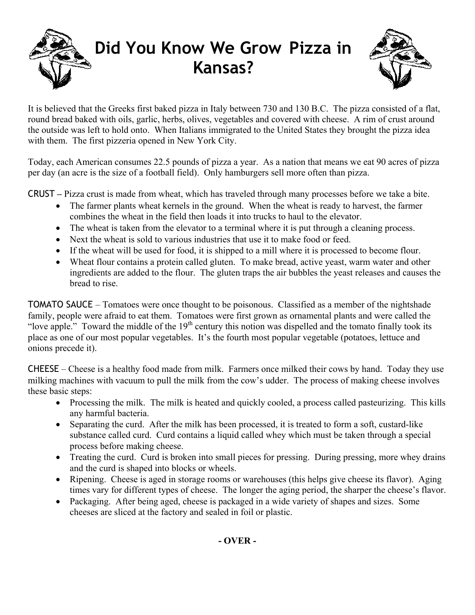



It is believed that the Greeks first baked pizza in Italy between 730 and 130 B.C. The pizza consisted of a flat, round bread baked with oils, garlic, herbs, olives, vegetables and covered with cheese. A rim of crust around the outside was left to hold onto. When Italians immigrated to the United States they brought the pizza idea with them. The first pizzeria opened in New York City.

Today, each American consumes 22.5 pounds of pizza a year. As a nation that means we eat 90 acres of pizza per day (an acre is the size of a football field). Only hamburgers sell more often than pizza.

CRUST **–** Pizza crust is made from wheat, which has traveled through many processes before we take a bite.

- The farmer plants wheat kernels in the ground. When the wheat is ready to harvest, the farmer combines the wheat in the field then loads it into trucks to haul to the elevator.
- The wheat is taken from the elevator to a terminal where it is put through a cleaning process.
- Next the wheat is sold to various industries that use it to make food or feed.
- If the wheat will be used for food, it is shipped to a mill where it is processed to become flour.
- Wheat flour contains a protein called gluten. To make bread, active yeast, warm water and other ingredients are added to the flour. The gluten traps the air bubbles the yeast releases and causes the bread to rise.

TOMATO SAUCE – Tomatoes were once thought to be poisonous. Classified as a member of the nightshade family, people were afraid to eat them. Tomatoes were first grown as ornamental plants and were called the "love apple." Toward the middle of the  $19<sup>th</sup>$  century this notion was dispelled and the tomato finally took its place as one of our most popular vegetables. It's the fourth most popular vegetable (potatoes, lettuce and onions precede it).

CHEESE – Cheese is a healthy food made from milk. Farmers once milked their cows by hand. Today they use milking machines with vacuum to pull the milk from the cow's udder. The process of making cheese involves these basic steps:

- Processing the milk. The milk is heated and quickly cooled, a process called pasteurizing. This kills any harmful bacteria.
- Separating the curd. After the milk has been processed, it is treated to form a soft, custard-like substance called curd. Curd contains a liquid called whey which must be taken through a special process before making cheese.
- Treating the curd. Curd is broken into small pieces for pressing. During pressing, more whey drains and the curd is shaped into blocks or wheels.
- Ripening. Cheese is aged in storage rooms or warehouses (this helps give cheese its flavor). Aging times vary for different types of cheese. The longer the aging period, the sharper the cheese's flavor.
- Packaging. After being aged, cheese is packaged in a wide variety of shapes and sizes. Some cheeses are sliced at the factory and sealed in foil or plastic.